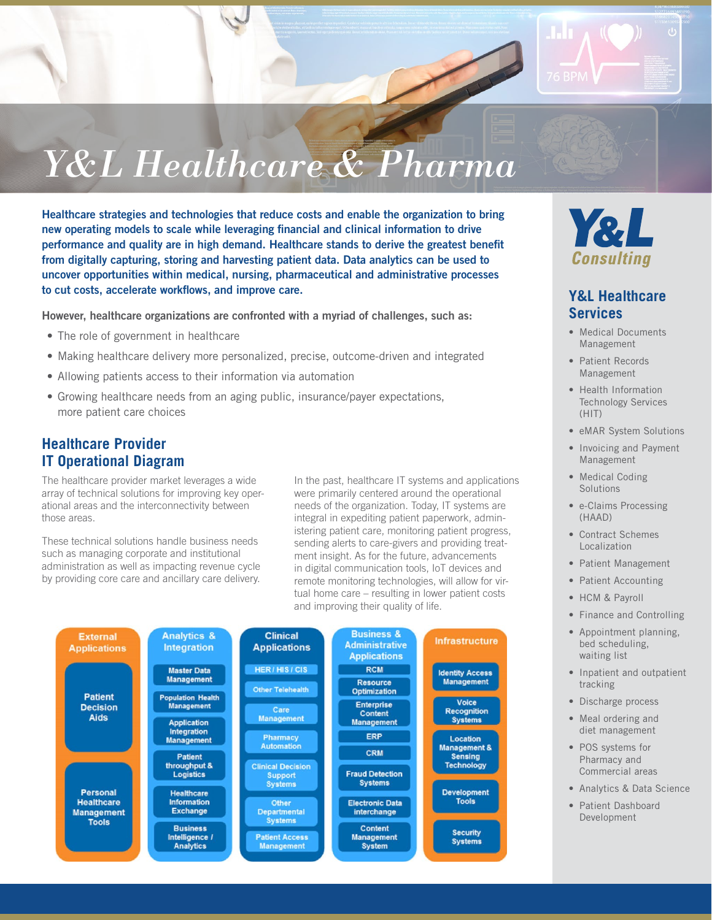

# *Y&L Healthcare & Pharma*

Healthcare strategies and technologies that reduce costs and enable the organization to bring new operating models to scale while leveraging financial and clinical information to drive performance and quality are in high demand. Healthcare stands to derive the greatest benefit from digitally capturing, storing and harvesting patient data. Data analytics can be used to uncover opportunities within medical, nursing, pharmaceutical and administrative processes to cut costs, accelerate workflows, and improve care.

However, healthcare organizations are confronted with a myriad of challenges, such as:

- The role of government in healthcare
- Making healthcare delivery more personalized, precise, outcome-driven and integrated
- Allowing patients access to their information via automation
- Growing healthcare needs from an aging public, insurance/payer expectations, more patient care choices

#### **Healthcare Provider IT Operational Diagram**

The healthcare provider market leverages a wide array of technical solutions for improving key operational areas and the interconnectivity between those areas.

These technical solutions handle business needs such as managing corporate and institutional administration as well as impacting revenue cycle by providing core care and ancillary care delivery.

In the past, healthcare IT systems and applications were primarily centered around the operational needs of the organization. Today, IT systems are integral in expediting patient paperwork, administering patient care, monitoring patient progress, sending alerts to care-givers and providing treatment insight. As for the future, advancements in digital communication tools, IoT devices and remote monitoring technologies, will allow for virtual home care – resulting in lower patient costs and improving their quality of life.





#### **Y&L Healthcare Services**

- Medical Documents Management
- Patient Records Management
- Health Information Technology Services (HIT)
- eMAR System Solutions
- Invoicing and Payment Management
- Medical Coding **Solutions**
- e-Claims Processing (HAAD)
- Contract Schemes Localization
- Patient Management
- Patient Accounting
- HCM & Payroll
- Finance and Controlling
- Appointment planning, bed scheduling, waiting list
- Inpatient and outpatient tracking
- Discharge process
- Meal ordering and diet management
- POS systems for Pharmacy and Commercial areas
- Analytics & Data Science
- Patient Dashboard Development